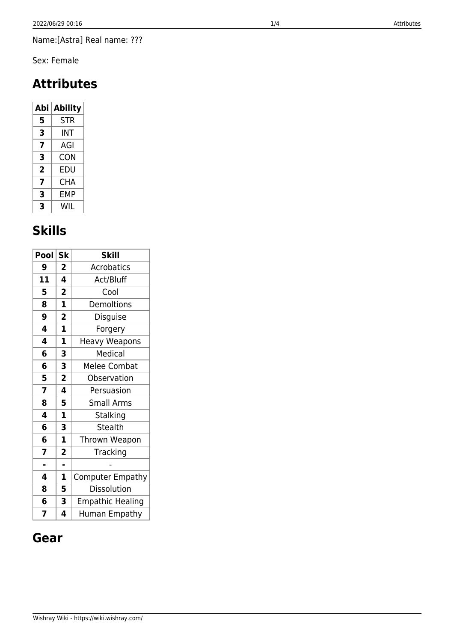Name:[Astra] Real name: ???

Sex: Female

# **Attributes**

| Abi | <b>Ability</b> |  |
|-----|----------------|--|
| 5   | <b>STR</b>     |  |
| 3   | INT            |  |
| 7   | AGI            |  |
| 3   | CON            |  |
| 2   | EDU            |  |
| 7   | CHA            |  |
| 3   | FMP            |  |
| 3   | WIL            |  |

# **Skills**

| Pool | <b>Sk</b>               | <b>Skill</b>            |
|------|-------------------------|-------------------------|
| 9    | 2                       | <b>Acrobatics</b>       |
| 11   | 4                       | Act/Bluff               |
| 5    | $\overline{\mathbf{c}}$ | Cool                    |
| 8    | 1                       | Demoltions              |
| 9    | $\overline{\mathbf{2}}$ | Disguise                |
| 4    | $\mathbf{1}$            | Forgery                 |
| 4    | $\mathbf{1}$            | <b>Heavy Weapons</b>    |
| 6    | 3                       | Medical                 |
| 6    | 3                       | <b>Melee Combat</b>     |
| 5    | $\overline{\mathbf{2}}$ | Observation             |
| 7    | 4                       | Persuasion              |
| 8    | 5                       | Small Arms              |
| 4    | $\overline{\mathbf{1}}$ | Stalking                |
| 6    | 3                       | <b>Stealth</b>          |
| 6    | $\mathbf 1$             | Thrown Weapon           |
| 7    | $\overline{\mathbf{c}}$ | Tracking                |
| L.   | ä,                      |                         |
| 4    | 1                       | <b>Computer Empathy</b> |
| 8    | 5                       | Dissolution             |
| 6    | 3                       | <b>Empathic Healing</b> |
| 7    | 4                       | Human Empathy           |

### **Gear**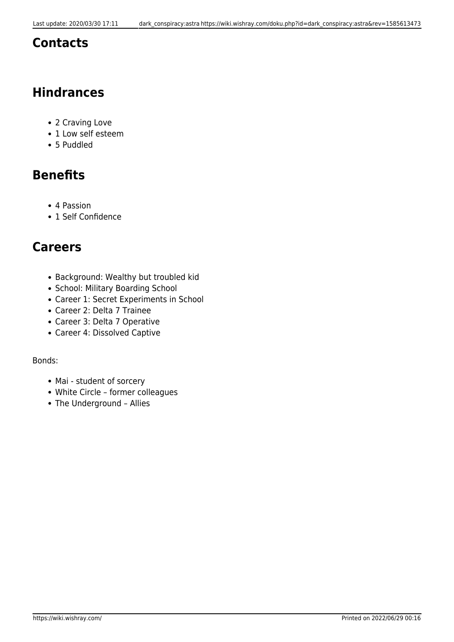#### **Contacts**

## **Hindrances**

- 2 Craving Love
- 1 Low self esteem
- 5 Puddled

# **Benefits**

- 4 Passion
- 1 Self Confidence

#### **Careers**

- Background: Wealthy but troubled kid
- School: Military Boarding School
- Career 1: Secret Experiments in School
- Career 2: Delta 7 Trainee
- Career 3: Delta 7 Operative
- Career 4: Dissolved Captive

#### Bonds:

- Mai student of sorcery
- White Circle former colleagues
- The Underground Allies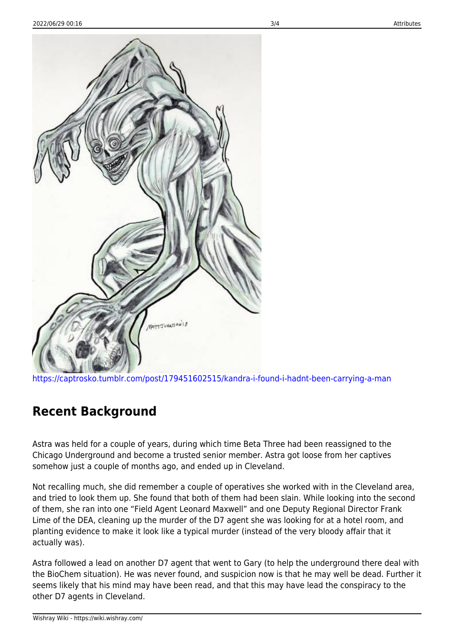

<https://captrosko.tumblr.com/post/179451602515/kandra-i-found-i-hadnt-been-carrying-a-man>

### **Recent Background**

Astra was held for a couple of years, during which time Beta Three had been reassigned to the Chicago Underground and become a trusted senior member. Astra got loose from her captives somehow just a couple of months ago, and ended up in Cleveland.

Not recalling much, she did remember a couple of operatives she worked with in the Cleveland area, and tried to look them up. She found that both of them had been slain. While looking into the second of them, she ran into one "Field Agent Leonard Maxwell" and one Deputy Regional Director Frank Lime of the DEA, cleaning up the murder of the D7 agent she was looking for at a hotel room, and planting evidence to make it look like a typical murder (instead of the very bloody affair that it actually was).

Astra followed a lead on another D7 agent that went to Gary (to help the underground there deal with the BioChem situation). He was never found, and suspicion now is that he may well be dead. Further it seems likely that his mind may have been read, and that this may have lead the conspiracy to the other D7 agents in Cleveland.